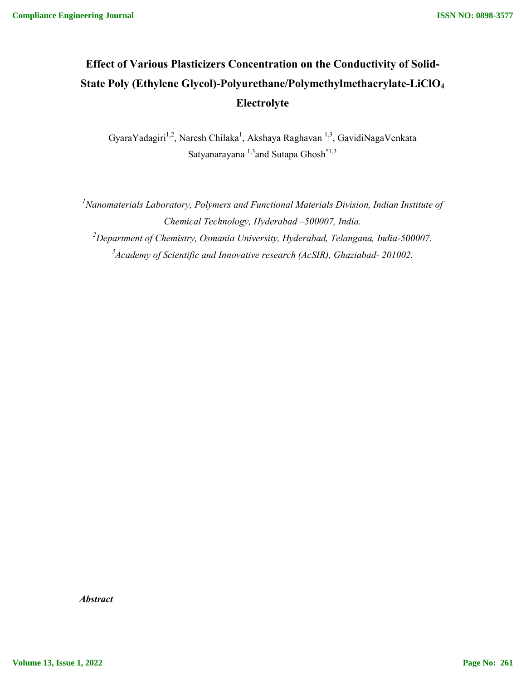# **Effect of Various Plasticizers Concentration on the Conductivity of Solid-State Poly (Ethylene Glycol)-Polyurethane/Polymethylmethacrylate-LiClO4 Electrolyte**

GyaraYadagiri<sup>1,2</sup>, Naresh Chilaka<sup>1</sup>, Akshaya Raghavan <sup>1,3</sup>, GavidiNagaVenkata Satyanarayana $\mathrm{^{1,3}}$  and Sutapa Ghosh $\mathrm{^{*1,3}}$ 

<sup>1</sup> Nanomaterials Laboratory, Polymers and Functional Materials Division, Indian Institute of *Chemical Technology, Hyderabad –500007, India. 2 Department of Chemistry, Osmania University, Hyderabad, Telangana, India-500007. 3 Academy of Scientific and Innovative research (AcSIR), Ghaziabad- 201002.*

*Abstract*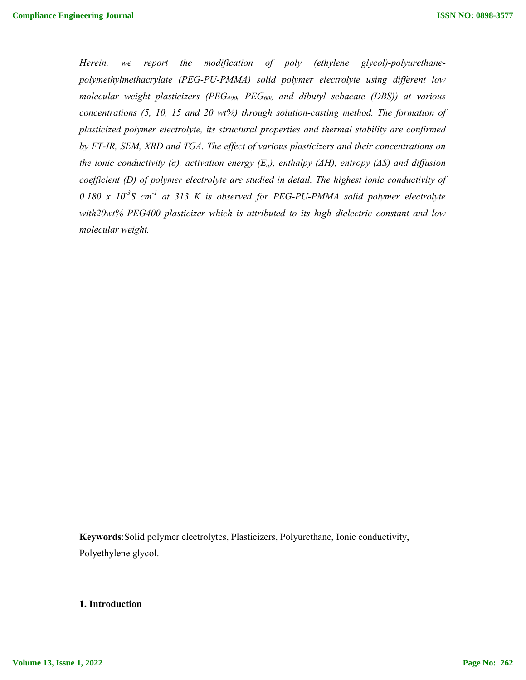*Herein, we report the modification of poly (ethylene glycol)-polyurethanepolymethylmethacrylate (PEG-PU-PMMA) solid polymer electrolyte using different low molecular weight plasticizers (PEG400, PEG600 and dibutyl sebacate (DBS)) at various concentrations (5, 10, 15 and 20 wt%) through solution-casting method. The formation of plasticized polymer electrolyte, its structural properties and thermal stability are confirmed by FT-IR, SEM, XRD and TGA. The effect of various plasticizers and their concentrations on the ionic conductivity (σ), activation energy (Ea), enthalpy (ΔH), entropy (ΔS) and diffusion coefficient (D) of polymer electrolyte are studied in detail. The highest ionic conductivity of*  0.180 x  $10^{-3}$ S cm<sup>-1</sup> at 313 K is observed for PEG-PU-PMMA solid polymer electrolyte *with20wt% PEG400 plasticizer which is attributed to its high dielectric constant and low molecular weight.* 

**Keywords**:Solid polymer electrolytes, Plasticizers, Polyurethane, Ionic conductivity, Polyethylene glycol.

# **1. Introduction**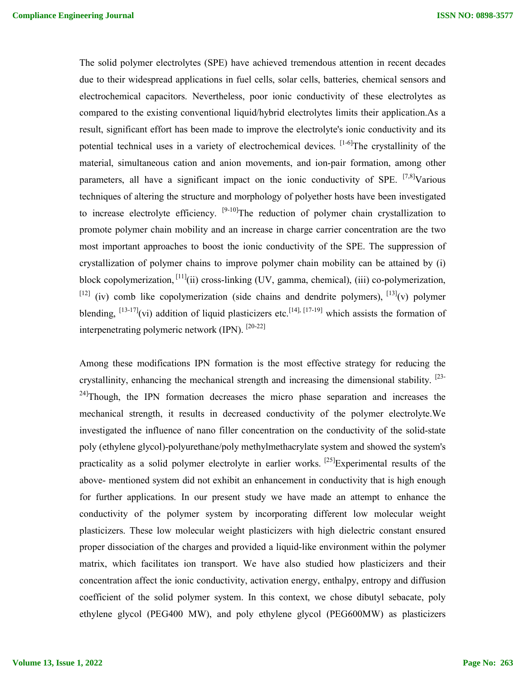The solid polymer electrolytes (SPE) have achieved tremendous attention in recent decades due to their widespread applications in fuel cells, solar cells, batteries, chemical sensors and electrochemical capacitors. Nevertheless, poor ionic conductivity of these electrolytes as compared to the existing conventional liquid/hybrid electrolytes limits their application.As a result, significant effort has been made to improve the electrolyte's ionic conductivity and its potential technical uses in a variety of electrochemical devices.  $[1-6]$ The crystallinity of the material, simultaneous cation and anion movements, and ion-pair formation, among other parameters, all have a significant impact on the ionic conductivity of SPE.  $[7,8]$ Various techniques of altering the structure and morphology of polyether hosts have been investigated to increase electrolyte efficiency.  $[9-10]$ The reduction of polymer chain crystallization to promote polymer chain mobility and an increase in charge carrier concentration are the two most important approaches to boost the ionic conductivity of the SPE. The suppression of crystallization of polymer chains to improve polymer chain mobility can be attained by (i) block copolymerization, <sup>[11]</sup>(ii) cross-linking (UV, gamma, chemical), (iii) co-polymerization,  $[12]$  (iv) comb like copolymerization (side chains and dendrite polymers),  $[13]$ (v) polymer blending,  $^{[13-17]}$ (vi) addition of liquid plasticizers etc.<sup>[14], [17-19]</sup> which assists the formation of interpenetrating polymeric network (IPN). [20-22]

Among these modifications IPN formation is the most effective strategy for reducing the crystallinity, enhancing the mechanical strength and increasing the dimensional stability.  $[23 24$ Though, the IPN formation decreases the micro phase separation and increases the mechanical strength, it results in decreased conductivity of the polymer electrolyte.We investigated the influence of nano filler concentration on the conductivity of the solid-state poly (ethylene glycol)-polyurethane/poly methylmethacrylate system and showed the system's practicality as a solid polymer electrolyte in earlier works.  $^{[25]}$ Experimental results of the above- mentioned system did not exhibit an enhancement in conductivity that is high enough for further applications. In our present study we have made an attempt to enhance the conductivity of the polymer system by incorporating different low molecular weight plasticizers. These low molecular weight plasticizers with high dielectric constant ensured proper dissociation of the charges and provided a liquid-like environment within the polymer matrix, which facilitates ion transport. We have also studied how plasticizers and their concentration affect the ionic conductivity, activation energy, enthalpy, entropy and diffusion coefficient of the solid polymer system. In this context, we chose dibutyl sebacate, poly ethylene glycol (PEG400 MW), and poly ethylene glycol (PEG600MW) as plasticizers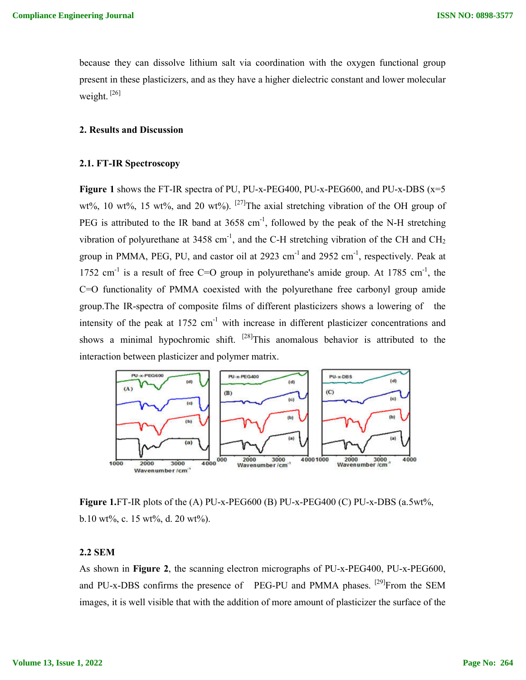because they can dissolve lithium salt via coordination with the oxygen functional group present in these plasticizers, and as they have a higher dielectric constant and lower molecular weight. [26]

## **2. Results and Discussion**

#### **2.1. FT-IR Spectroscopy**

**Figure 1** shows the FT-IR spectra of PU, PU-x-PEG400, PU-x-PEG600, and PU-x-DBS (x=5 wt%, 10 wt%, 15 wt%, and 20 wt%). <sup>[27]</sup>The axial stretching vibration of the OH group of PEG is attributed to the IR band at  $3658 \text{ cm}^{-1}$ , followed by the peak of the N-H stretching vibration of polyurethane at 3458 cm<sup>-1</sup>, and the C-H stretching vibration of the CH and CH<sub>2</sub> group in PMMA, PEG, PU, and castor oil at 2923 cm<sup>-1</sup> and 2952 cm<sup>-1</sup>, respectively. Peak at 1752 cm<sup>-1</sup> is a result of free C=O group in polyurethane's amide group. At 1785 cm<sup>-1</sup>, the C=O functionality of PMMA coexisted with the polyurethane free carbonyl group amide group.The IR-spectra of composite films of different plasticizers shows a lowering of the intensity of the peak at  $1752 \text{ cm}^{-1}$  with increase in different plasticizer concentrations and shows a minimal hypochromic shift.  $[28]$ This anomalous behavior is attributed to the interaction between plasticizer and polymer matrix.



**Figure 1.**FT-IR plots of the (A) PU-x-PEG600 (B) PU-x-PEG400 (C) PU-x-DBS (a.5wt%, b.10 wt%, c. 15 wt%, d. 20 wt%).

# **2.2 SEM**

As shown in **Figure 2**, the scanning electron micrographs of PU-x-PEG400, PU-x-PEG600, and PU-x-DBS confirms the presence of PEG-PU and PMMA phases. <sup>[29]</sup>From the SEM images, it is well visible that with the addition of more amount of plasticizer the surface of the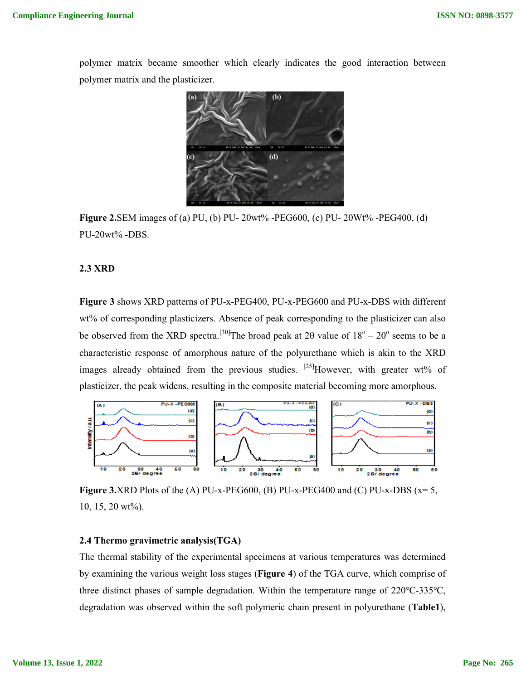polymer matrix became smoother which clearly indicates the good interaction between polymer matrix and the plasticizer.



**Figure 2.SEM** images of (a) PU, (b) PU-20wt% -PEG600, (c) PU-20Wt% -PEG400, (d) PU-20wt% -DBS.

## **2.3 XRD**

Figure 3 shows XRD patterns of PU-x-PEG400, PU-x-PEG600 and PU-x-DBS with different wt% of corresponding plasticizers. Absence of peak corresponding to the plasticizer can also be observed from the XRD spectra.<sup>[30]</sup>The broad peak at 2 $\theta$  value of  $18^{\circ} - 20^{\circ}$ characteristic response of amorphous nature of the polyurethane which is akin to the XRD characteristic response of amorphous nature of the polyurethane which is akin to the XRD images already obtained from the previous studies. <sup>[25]</sup>However, with greater wt% of plasticizer, the peak widens, resulting in the composite material becoming more amorphous.



**Figure 3.XRD** Plots of the (A) PU-x-PEG600, (B) PU-x-PEG400 and (C) PU-x-10, 15, 20 wt%).

#### **2.4 Thermo gravimetric analysis(TGA) .4 Thermo**

The thermal stability of the experimental specimens at various temperatures was determined The by examining the various weight loss stages ( **Figure 4**) of the TGA curve, which comprise of three distinct phases of sample degradation. Within the temperature range of 220°C-335°C, three distinct phases of sample degradation. Within the temperature range of 220°C-335°C, degradation was observed within the soft polymeric chain present in polyurethane (Table1),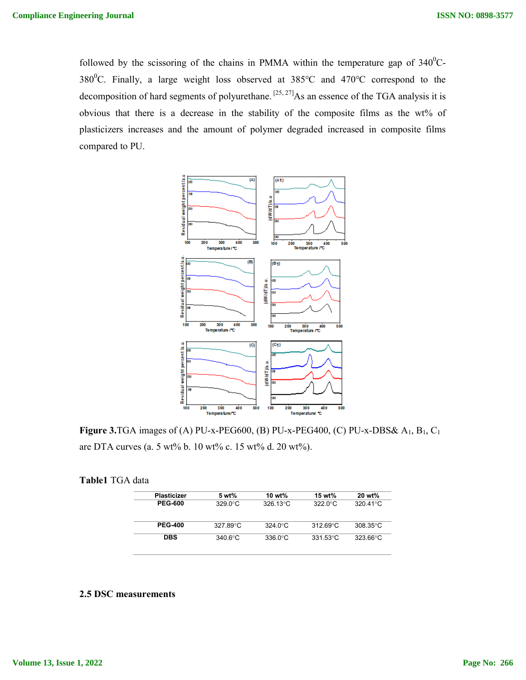followed by the scissoring of the chains in PMMA within the temperature gap of  $340^0C$ followed by the scissoring of the chains in PMMA within the temperature gap of  $340^{\circ}$ C-<br>380<sup>°</sup>C. Finally, a large weight loss observed at  $385^{\circ}$ C and  $470^{\circ}$ C correspond to the 380<sup>o</sup>C. Finally, a large weight loss observed at 385<sup>o</sup>C and 470<sup>o</sup>C correspond to the decomposition of hard segments of polyurethane.<sup>[25, 27]</sup>As an essence of the TGA analysis it is obvious that there is a decrease in the stability of the composite films as the wt% of plasticizers increases and the amount of polymer degraded increased in composite films compared to PU.



**Figure 3.**TGA images of (A) PU-x-PEG600, (B) PU-x-PEG400, (C) PU-x-DBS&  $A_1$ ,  $B_1$ ,  $C_1$ are DTA curves (a. 5 wt% b. 10 wt% c. 15 wt% d. 20 wt%). are

| Table1 TGA data |  |
|-----------------|--|
|-----------------|--|

| <b>Plasticizer</b> | 5 wt%             | 10 wt%             | 15 wt%             | 20 wt%              |
|--------------------|-------------------|--------------------|--------------------|---------------------|
| <b>PEG-600</b>     | $329.0^{\circ}$ C | $326.13^{\circ}$ C | 322.0 $^{\circ}$ C | 320.41 $^{\circ}$ C |
| <b>PEG-400</b>     | 327.89°C          | $324.0^{\circ}$ C  | $31269^{\circ}$ C  | $308.35^{\circ}$ C  |
| <b>DBS</b>         | $340.6^{\circ}$ C | $336.0^{\circ}$ C  | $331.53^{\circ}$ C | $323.66^{\circ}$ C  |

## **2.5 DSC measurements**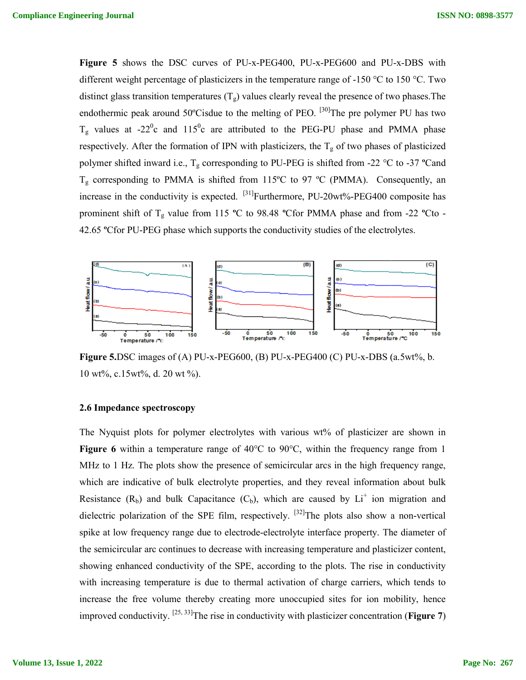Figure 5 shows the DSC curves of PU-x-PEG400, PU-x-PEG600 and PU-x-DBS with different weight percentage of plasticizers in the temperature range of -150 °C to 150 °C. Two distinct glass transition temperatures  $(T_g)$  values clearly reveal the presence of two phases. The endothermic peak around 50°Cisdue to the melting of PEO. <sup>[30]</sup>The pre polymer PU has two  $T_g$  values at -22<sup>0</sup>c and 115<sup>0</sup>c are attributed to the PEG-PU phase and PMMA phase respectively. After the formation of IPN with plasticizers, the  $T_g$  of two phases of plasticized polymer shifted inward i.e.,  $T_g$  corresponding to PU-PEG is shifted from -22  $^{\circ}$ C to  $T_g$  corresponding to PMMA is shifted from 115°C to 97 °C (PMMA). Consequently, an  $T_g$  corresponding to PMMA is shifted from 115°C to 97 °C (PMMA). Consequently, an increase in the conductivity is expected. <sup>[31]</sup>Furthermore, PU-20wt%-PEG400 composite has  $T_g$  corresponding to PMMA is shifted from 115°C to 97 °C (PMMA). Consequently, an increase in the conductivity is expected. <sup>[31]</sup>Furthermore, PU-20wt%-PEG400 composite has prominent shift of  $T_g$  value from 115 °C to 98 42.65 **º**Cfor PU-PEG phase which supports the conductivity studies of the electrolytes. <sup>30</sup>The pre polymer PU has two<br>PU phase and PMMA phase<br> $T_g$  of two phases of plasticized<br>nifted from -22 °C to -37 °Cand



Figure 5.DSC images of (A) PU-x-PEG600, (B) PU-x-PEG400 (C) PU-x-DBS (a.5wt%, b. 10 wt%, c.15wt%, d. 20 wt %).

#### **2.6 Impedance spectroscopy**

The Nyquist plots for polymer electrolytes with various wt% of plasticizer are shown in The Nyquist plots for polymer electrolytes with various wt% of plasticizer are shown in **Figure 6** within a temperature range of  $40^{\circ}$ C to  $90^{\circ}$ C, within the frequency range from 1 MHz to 1 Hz. The plots show the presence of semicircular arcs in the high frequency range, which are indicative of bulk electrolyte properties, and they reveal information about bulk MHz to 1 Hz. The plots show the presence of semicircular arcs in the high frequency range, which are indicative of bulk electrolyte properties, and they reveal information about bulk Resistance  $(R_b)$  and bulk Capacitance MHz to 1 Hz. The plots show the presence of semicircular arcs in the high frequency range, which are indicative of bulk electrolyte properties, and they reveal information about bulk Resistance ( $R_b$ ) and bulk Capacitance spike at low frequency range due to electrode-electrolyte interface property. The diameter of the semicircular arc continues to decrease with increasing temperature and plasticizer content, showing enhanced conductivity of the SPE, according to the plots. The rise in conductivity with increasing temperature is due to thermal activation of charge carriers, which tends to increase the free volume thereby creating more unoccupied sites for ion mobility, hence showing enhanced conductivity of the SPE, according to the plots. The rise in conductivity with increasing temperature is due to thermal activation of charge carriers, which tends to increase the free volume thereby creati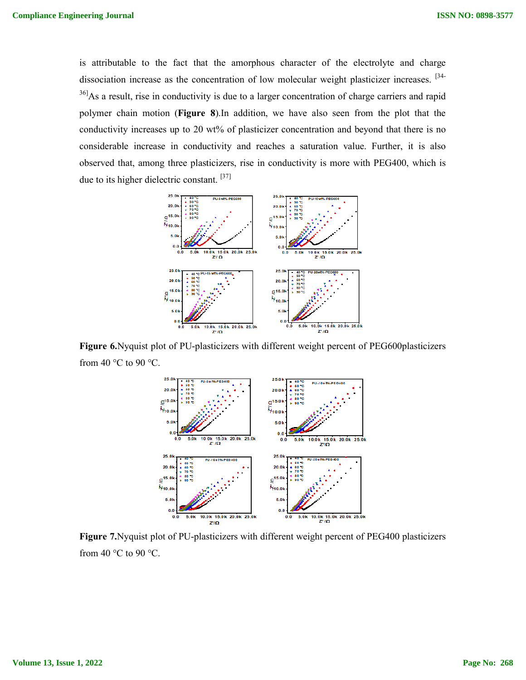is attributable to the fact that the amorphous character of the electrolyte and charge dissociation increase as the concentration of low molecular weight plasticizer increases dissociation <sup>36]</sup>As a result, rise in conductivity is due to a larger concentration of charge carriers and rapid polymer chain motion (Figure 8).In addition, we have also seen from the plot that the conductivity increases up to 20 wt% of plasticizer concentration and beyond that there is no considerable increase in conductivity and reaches a saturation value. Further, it is also observed that, among three plasticizers, rise in conductivity is more with PEG400, which is due to its higher dielectric constant.<sup>[37]</sup> conductivity increases up to 20 wt% of plasticizer concentration and beyond that there is no considerable increase in conductivity and reaches a saturation value. Further, it is also observed that, among three plasticizer that the amorphous character of the electrolyte and charge<br>concentration of low molecular weight plasticizer increases. <sup>[34-1</sup>]<br>with is due to a larger concentration of charge carriers and rapid<br>20 wt% of plasticizer con Compliance Engineering Journal<br>
is attributable to the fact that the amorphous charge of<br>  $^{16}$ Chas a result, rise in conductivity is due to a larger complement of<br>  $^{16}$ Chas a result, rise in conductivity in details on



**Figure 6.**Nyquist plot of PU-plasticizers with different weight percent of PEG600plasticizers from 40  $^{\circ}$ C to 90  $^{\circ}$ C.



**Figure 7.**Nyquist plot of PU-plasticizers with different weight percent of PEG400 plasticizers from 40  $\degree$ C to 90  $\degree$ C.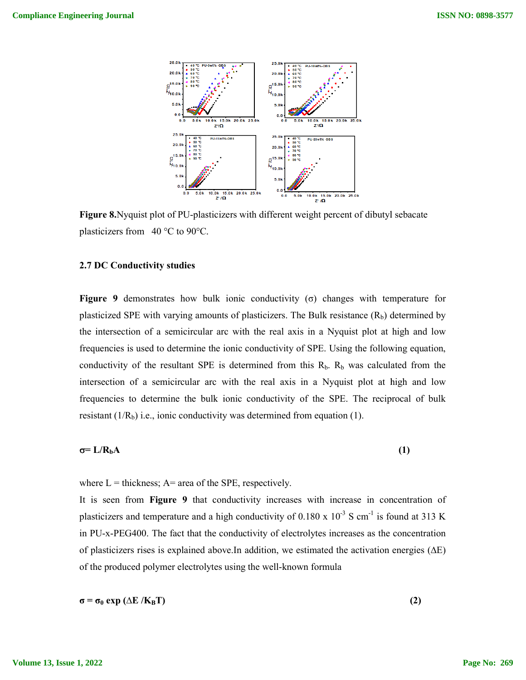

**Figure 8.**Nyquist plot of PU-plasticizers with different weight percent of dibutyl sebacate plasticizers from 40 °C to 90°C. plasticizers from 40 °C to 90°C.

#### **2.7 DC Conductivity studies**

**Figure 9** demonstrates how bulk ionic conductivity (σ) changes with temperature for plasticized SPE with varying amounts of plasticizers. The Bulk resistance  $(R_b)$  determined by the intersection of a semicircular arc with the real axis in a Nyquist plot at high and low frequencies is used to determine the ionic conductivity of SPE. Using the following equation, frequencies is used to determine the ionic conductivity of SPE. Using the following equation, conductivity of the resultant SPE is determined from this  $R_b$ .  $R_b$  was calculated from the intersection of a semicircular arc with the real axis in a Nyquist plot at high and low frequencies to determine the bulk ionic conductivity of the SPE. The reciprocal of bulk resistant  $(1/R_b)$  i.e., ionic conductivity was determined from equation (1). thes how bulk ionic conductivity (o) changes with tempera<br>varying amounts of plasticizers. The Bulk resistance (R<sub>b</sub>) determ<br>semicircular arc with the real axis in a Nyquist plot at high<br>determine the ionic conductivity o

$$
\sigma = L/R_b A \tag{1}
$$

where  $L =$  thickness;  $A =$  area of the SPE, respectively.

It is seen from **Figure 9** that conductivity increases with increase in concentration of plasticizers and temperature and a high conductivity of 0.180 x  $10^{-3}$  S cm<sup>-1</sup> is found at 313 K in PU-x-PEG400. The fact that the conductivity of electrolytes increases as the concentration of plasticizers rises is explained above. In addition, we estimated the activation energies  $(\Delta E)$ in PU-x-PEG400. The fact that the conductivity of electrolytes incr<br>of plasticizers rises is explained above.In addition, we estimated th<br>of the produced polymer electrolytes using the well-known formula ature and a high conductivity of 0.180 x  $10^{-3}$  S cm<sup>-1</sup> is found at 313 K<br>fact that the conductivity of electrolytes increases as the concentration<br>explained above.In addition, we estimated the activation energies ( $\Delta E$ 

$$
\sigma = \sigma_0 \exp\left(\Delta E / K_B T\right) \tag{2}
$$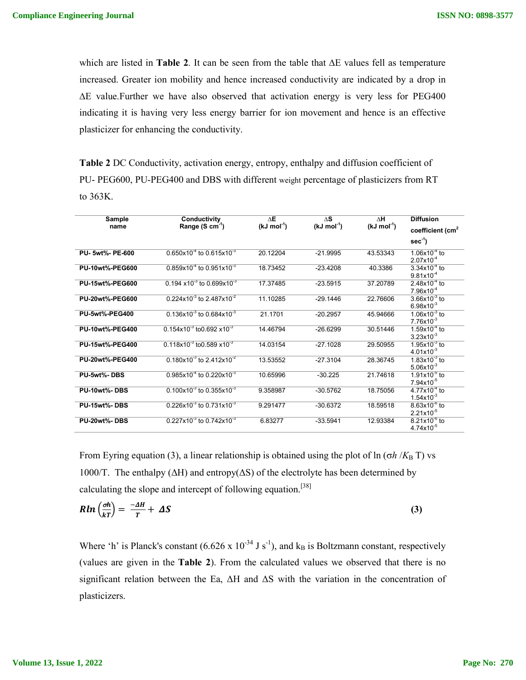which are listed in **Table 2**. It can be seen from the table that ∆E values fell as temperature increased. Greater ion mobility and hence increased conductivity are indicated by a drop in ∆E value.Further we have also observed that activation energy is very less for PEG400 indicating it is having very less energy barrier for ion movement and hence is an effective plasticizer for enhancing the conductivity.

**Table 2** DC Conductivity, activation energy, entropy, enthalpy and diffusion coefficient of PU- PEG600, PU-PEG400 and DBS with different weight percentage of plasticizers from RT to 363K.

| Sample                 | Conductivity                                     | $\Delta E$              | $\wedge$ S   | ΔH                      | <b>Diffusion</b>                               |
|------------------------|--------------------------------------------------|-------------------------|--------------|-------------------------|------------------------------------------------|
| name                   | Range (S cm <sup>-1</sup> )                      | $(kJ \text{ mol}^{-1})$ | $(kJ mol-1)$ | $(kJ \text{ mol}^{-1})$ | coefficient (cm <sup>2</sup>                   |
|                        |                                                  |                         |              |                         | $sec-1$                                        |
| PU-5wt%-PE-600         | $0.650x10^{4}$ to $0.615x10^{3}$                 | 20.12204                | $-21.9995$   | 43.53343                | $1.06x10^{-4}$ to<br>$2.07x10^{-4}$            |
| <b>PU-10wt%-PEG600</b> | $0.859x10^{4}$ to $0.951x10^{3}$                 | 18.73452                | $-23.4208$   | 40.3386                 | $3.34x10^{-4}$ to<br>$9.81x10^{-4}$            |
| <b>PU-15wt%-PEG600</b> | $0.194 \times 10^{-3}$ to 0.699x10 <sup>-3</sup> | 17.37485                | $-23.5915$   | 37.20789                | $2.48x10^{-4}$ to<br>$7.96x10^{-4}$            |
| <b>PU-20wt%-PEG600</b> | 0.224x10 <sup>-3</sup> to 2.487x10 <sup>-2</sup> | 11.10285                | $-29.1446$   | 22.76606                | $3.66x10^{-3}$ to<br>$6.98x10^{-3}$            |
| <b>PU-5wt%-PEG400</b>  | $0.136x10^{3}$ to $0.684x10^{3}$                 | 21.1701                 | $-20.2957$   | 45.94666                | $1.06x10^{-3}$ to<br>$7.76x10^{-3}$            |
| <b>PU-10wt%-PEG400</b> | $0.154x10^{3}$ to 0.692 $x10^{3}$                | 14.46794                | $-26.6299$   | 30.51446                | $1.59x10^{-4}$ to<br>$3.23x10^{-3}$            |
| <b>PU-15wt%-PEG400</b> | $0.118x10^{3}$ to 0.589 $x10^{3}$                | 14.03154                | $-27.1028$   | 29.50955                | $1.95x10^{-3}$ to<br>$4.01x10^{-3}$            |
| <b>PU-20wt%-PEG400</b> | 0.180x10 <sup>-3</sup> to 2.412x10 <sup>-2</sup> | 13.53552                | $-27.3104$   | 28.36745                | $1.83x10^{-3}$ to<br>$5.06x10^{-3}$            |
| PU-5wt%-DBS            | $0.985x10^{4}$ to 0.220x10 <sup>-3</sup>         | 10.65996                | $-30.225$    | 21.74618                | $1.91x10^{-5}$ to<br>$7.94x10^{-5}$            |
| PU-10wt%-DBS           | 0.100x10 <sup>-3</sup> to 0.355x10 <sup>-3</sup> | 9.358987                | $-30.5762$   | 18.75056                | $4.77x10^{-4}$ to<br>$1.54x10^{-3}$            |
| <b>PU-15wt%-DBS</b>    | $0.226x10^{3}$ to $0.731x10^{3}$                 | 9.291477                | $-30.6372$   | 18.59518                | $8.63x10^{-6}$ to<br>$2.21x10^{-5}$            |
| <b>PU-20wt%-DBS</b>    | 0.227x10 <sup>-3</sup> to 0.742x10 <sup>-3</sup> | 6.83277                 | $-33.5941$   | 12.93384                | $8.21x\overline{10^{-6}}$ to<br>$4.74x10^{-5}$ |

From Eyring equation (3), a linear relationship is obtained using the plot of  $\ln (\sigma h / K_B T)$  vs 1000/T. The enthalpy ( $\Delta H$ ) and entropy( $\Delta S$ ) of the electrolyte has been determined by calculating the slope and intercept of following equation.<sup>[38]</sup>

$$
R\ln\left(\frac{\partial h}{kT}\right) = \frac{-\Delta H}{T} + \Delta S \tag{3}
$$

Where 'h' is Planck's constant  $(6.626 \times 10^{-34} \text{ J s}^{-1})$ , and  $k_B$  is Boltzmann constant, respectively (values are given in the **Table 2**). From the calculated values we observed that there is no significant relation between the Ea,  $\Delta H$  and  $\Delta S$  with the variation in the concentration of plasticizers.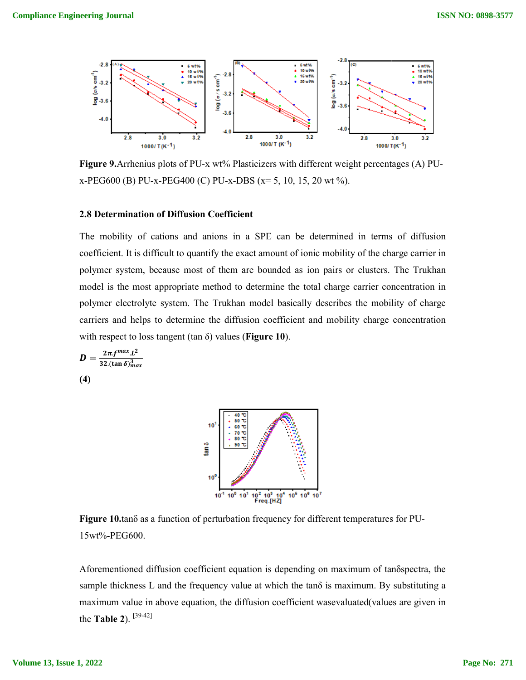

Figure 9. Arrhenius plots of PU-x wt% Plasticizers with different weight percentages (A) PU-**Figure 9.** Arrhenius plots of PU-x wt% Plasticizers with different weig<br>x-PEG600 (B) PU-x-PEG400 (C) PU-x-DBS (x= 5, 10, 15, 20 wt %).

#### **2.8 Determination of Diffusion Coefficient Determination**

The mobility of cations and anions in a SPE can be determined in terms of diffusion coefficient. It is difficult to quantify the exact amount of ionic mobility of the charge carrier in polymer system, because most of them are bounded as ion pairs or clusters. The Trukhan model is the most appropriate method to determine the total charge carrier concentration in polymer electrolyte system. The Trukhan model basically describes the mobility of charge carriers and helps to determine the diffusion coefficient and mobility charge concentration with respect to loss tangent (tan  $\delta$ ) values (**Figure 10**). coefficient. It is difficult to quantify the exact amount of ite polymer system, because most of them are bounded as model is the most appropriate method to determine the 1 polymer electrolyte system. The Trukhan model ba ty of cations and anions in a SPE can be determined<br>It is difficult to quantify the exact amount of ionic mobility<br>stem, because most of them are bounded as ion pairs or<br>e most appropriate method to determine the total cha Compliance Engineering Journal<br>  $\frac{3}{2}$ <br>  $\frac{1}{2}$ <br>  $\frac{1}{2}$ <br>  $\frac{1}{2}$ <br>  $\frac{1}{2}$ <br>  $\frac{1}{2}$ <br>  $\frac{1}{2}$ <br>  $\frac{1}{2}$ <br>
Figure 9.Arthenius pictos of PU-x w/f5 Plankinizes with different version pictorials<br>
IF intermediati

$$
D = \frac{2\pi f^{max} L^2}{32.(\tan \delta)^2_{max}}
$$
\n(4)



Figure 10.tano as a function of perturbation frequency for different temperatures for PU-15wt%-PEG600.

Aforementioned diffusion coefficient equation is depending on maximum of tanδspectra, the Figure 10.tanδ as a function of perturbation frequency for different temperatures for PU-<br>15wt%-PEG600.<br>Aforementioned diffusion coefficient equation is depending on maximum of tanδspectra, the<br>sample thickness L and the maximum value in above equation, the diffusion coefficient wasevaluated(values are given in the **Table 2**). [39-42]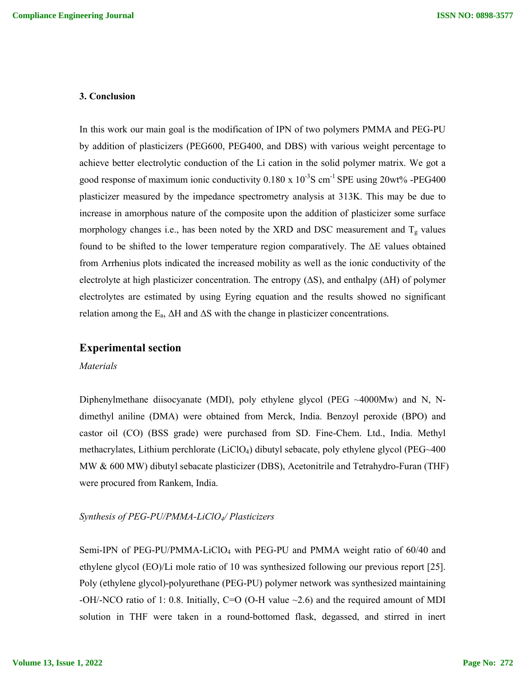### **3. Conclusion**

In this work our main goal is the modification of IPN of two polymers PMMA and PEG-PU by addition of plasticizers (PEG600, PEG400, and DBS) with various weight percentage to achieve better electrolytic conduction of the Li cation in the solid polymer matrix. We got a good response of maximum ionic conductivity  $0.180 \times 10^{-3}$ S cm<sup>-1</sup> SPE using  $20wt\%$  -PEG400 plasticizer measured by the impedance spectrometry analysis at 313K. This may be due to increase in amorphous nature of the composite upon the addition of plasticizer some surface morphology changes i.e., has been noted by the XRD and DSC measurement and  $T_g$  values found to be shifted to the lower temperature region comparatively. The ∆E values obtained from Arrhenius plots indicated the increased mobility as well as the ionic conductivity of the electrolyte at high plasticizer concentration. The entropy (ΔS), and enthalpy (ΔH) of polymer electrolytes are estimated by using Eyring equation and the results showed no significant relation among the  $E_a$ ,  $\Delta H$  and  $\Delta S$  with the change in plasticizer concentrations.

## **Experimental section**

#### *Materials*

Diphenylmethane diisocyanate (MDI), poly ethylene glycol (PEG  $\sim$ 4000Mw) and N, Ndimethyl aniline (DMA) were obtained from Merck, India. Benzoyl peroxide (BPO) and castor oil (CO) (BSS grade) were purchased from SD. Fine-Chem. Ltd., India. Methyl methacrylates, Lithium perchlorate (LiClO4) dibutyl sebacate, poly ethylene glycol (PEG~400 MW & 600 MW) dibutyl sebacate plasticizer (DBS), Acetonitrile and Tetrahydro-Furan (THF) were procured from Rankem, India.

#### *Synthesis of PEG-PU/PMMA-LiClO4/ Plasticizers*

Semi-IPN of PEG-PU/PMMA-LiClO4 with PEG-PU and PMMA weight ratio of 60/40 and ethylene glycol (EO)/Li mole ratio of 10 was synthesized following our previous report [25]. Poly (ethylene glycol)-polyurethane (PEG-PU) polymer network was synthesized maintaining -OH/-NCO ratio of 1: 0.8. Initially, C=O (O-H value  $\sim$  2.6) and the required amount of MDI solution in THF were taken in a round-bottomed flask, degassed, and stirred in inert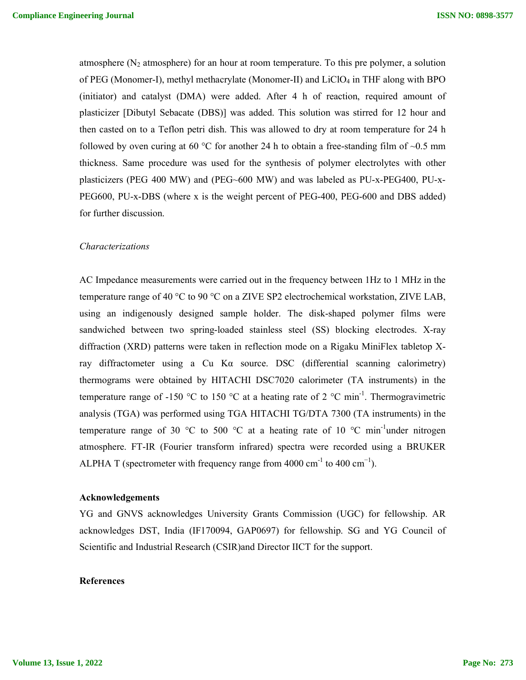atmosphere  $(N_2$  atmosphere) for an hour at room temperature. To this pre polymer, a solution of PEG (Monomer-I), methyl methacrylate (Monomer-II) and LiClO4 in THF along with BPO (initiator) and catalyst (DMA) were added. After 4 h of reaction, required amount of plasticizer [Dibutyl Sebacate (DBS)] was added. This solution was stirred for 12 hour and then casted on to a Teflon petri dish. This was allowed to dry at room temperature for 24 h followed by oven curing at 60 °C for another 24 h to obtain a free-standing film of  $\sim 0.5$  mm thickness. Same procedure was used for the synthesis of polymer electrolytes with other plasticizers (PEG 400 MW) and (PEG~600 MW) and was labeled as PU-x-PEG400, PU-x-PEG600, PU-x-DBS (where x is the weight percent of PEG-400, PEG-600 and DBS added) for further discussion.

#### *Characterizations*

AC Impedance measurements were carried out in the frequency between 1Hz to 1 MHz in the temperature range of 40 °C to 90 °C on a ZIVE SP2 electrochemical workstation, ZIVE LAB, using an indigenously designed sample holder. The disk-shaped polymer films were sandwiched between two spring-loaded stainless steel (SS) blocking electrodes. X-ray diffraction (XRD) patterns were taken in reflection mode on a Rigaku MiniFlex tabletop Xray diffractometer using a Cu K $\alpha$  source. DSC (differential scanning calorimetry) thermograms were obtained by HITACHI DSC7020 calorimeter (TA instruments) in the temperature range of -150 °C to 150 °C at a heating rate of 2 °C min<sup>-1</sup>. Thermogravimetric analysis (TGA) was performed using TGA HITACHI TG/DTA 7300 (TA instruments) in the temperature range of 30 °C to 500 °C at a heating rate of 10 °C min<sup>-1</sup>under nitrogen atmosphere. FT-IR (Fourier transform infrared) spectra were recorded using a BRUKER ALPHA T (spectrometer with frequency range from 4000 cm<sup>-1</sup> to 400 cm<sup>-1</sup>).

#### **Acknowledgements**

YG and GNVS acknowledges University Grants Commission (UGC) for fellowship. AR acknowledges DST, India (IF170094, GAP0697) for fellowship. SG and YG Council of Scientific and Industrial Research (CSIR)and Director IICT for the support.

## **References**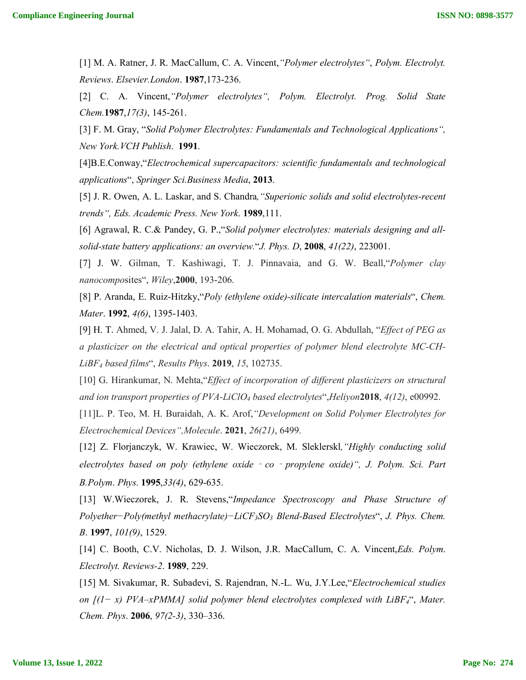[1] M. A. Ratner, J. R. MacCallum, C. A. Vincent,*"Polymer electrolytes"*, *Polym. Electrolyt. Reviews*. *Elsevier.London*. **1987**,173-236.

[2] C. A. Vincent,*"Polymer electrolytes", Polym. Electrolyt. Prog. Solid State Chem.***1987**,*17(3)*, 145-261.

[3] F. M. Gray, "*Solid Polymer Electrolytes: Fundamentals and Technological Applications", New York.VCH Publish*. **1991**.

[4]B.E.Conway,"*Electrochemical supercapacitors: scientific fundamentals and technological applications*", *Springer Sci.Business Media*, **2013**.

[5] J. R. Owen, A. L. Laskar, and S. Chandra*,"Superionic solids and solid electrolytes-recent trends", Eds. Academic Press. New York*. **1989**,111.

[6] Agrawal, R. C.& Pandey, G. P.,"*Solid polymer electrolytes: materials designing and allsolid-state battery applications: an overview.*"*J. Phys. D*, **2008**, *41(22)*, 223001.

[7] J. W. Gilman, T. Kashiwagi, T. J. Pinnavaia, and G. W. Beall,"*Polymer clay nanocompo*sites", *Wiley*,**2000**, 193-206.

[8] P. Aranda, E. Ruiz-Hitzky,"*Poly (ethylene oxide)-silicate intercalation materials*", *Chem. Mater*. **1992**, *4(6)*, 1395-1403.

[9] H. T. Ahmed, V. J. Jalal, D. A. Tahir, A. H. Mohamad, O. G. Abdullah, "*Effect of PEG as a plasticizer on the electrical and optical properties of polymer blend electrolyte MC-CH-LiBF4 based films*", *Results Phys*. **2019**, *15*, 102735.

[10] G. Hirankumar, N. Mehta,"*Effect of incorporation of different plasticizers on structural and ion transport properties of PVA-LiClO4 based electrolytes*",*Heliyon***2018**, *4(12)*, e00992.

[11]L. P. Teo, M. H. Buraidah, A. K. Arof,*"Development on Solid Polymer Electrolytes for Electrochemical Devices",Molecule*. **2021**, *26(21)*, 6499.

[12] Z. Florjanczyk, W. Krawiec, W. Wieczorek, M. Sleklerskl*,"Highly conducting solid electrolytes based on poly (ethylene oxide*‐*co*‐*propylene oxide)", J. Polym. Sci. Part B.Polym*. *Phys*. **1995**,*33(4)*, 629-635.

[13] W.Wieczorek, J. R. Stevens,"*Impedance Spectroscopy and Phase Structure of Polyether−Poly(methyl methacrylate)−LiCF3SO3 Blend-Based Electrolytes*", *J. Phys. Chem. B*. **1997**, *101(9)*, 1529.

[14] C. Booth, C.V. Nicholas, D. J. Wilson, J.R. MacCallum, C. A. Vincent,*Eds. Polym*. *Electrolyt. Reviews-2*. **1989**, 229.

[15] M. Sivakumar, R. Subadevi, S. Rajendran, N.-L. Wu, J.Y.Lee,"*Electrochemical studies on [(1− x) PVA–xPMMA] solid polymer blend electrolytes complexed with LiBF4*", *Mater. Chem. Phys*. **2006**, *97(2-3)*, 330–336.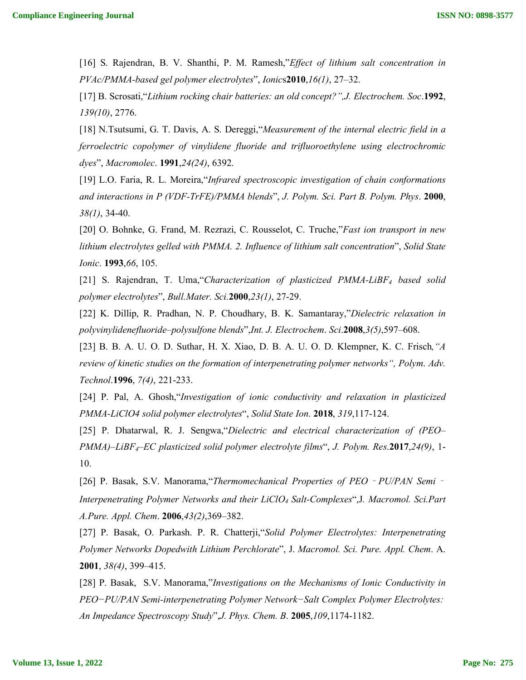[16] S. Rajendran, B. V. Shanthi, P. M. Ramesh,"*Effect of lithium salt concentration in PVAc/PMMA-based gel polymer electrolytes*", *Ionic*s**2010**,*16(1)*, 27–32.

[17] B. Scrosati,"*Lithium rocking chair batteries: an old concept?",J. Electrochem. Soc*.**1992**, *139(10)*, 2776.

[18] N.Tsutsumi, G. T. Davis, A. S. Dereggi,"*Measurement of the internal electric field in a ferroelectric copolymer of vinylidene fluoride and trifluoroethylene using electrochromic dyes*", *Macromolec*. **1991**,*24(24)*, 6392.

[19] L.O. Faria, R. L. Moreira,"*Infrared spectroscopic investigation of chain conformations and interactions in P (VDF‐TrFE)/PMMA blends*", *J. Polym. Sci. Part B. Polym. Phys*. **2000**, *38(1)*, 34-40.

[20] O. Bohnke, G. Frand, M. Rezrazi, C. Rousselot, C. Truche,"*Fast ion transport in new lithium electrolytes gelled with PMMA. 2. Influence of lithium salt concentration*", *Solid State Ionic*. **1993**,*66*, 105.

[21] S. Rajendran, T. Uma,"*Characterization of plasticized PMMA-LiBF4 based solid polymer electrolytes*", *Bull.Mater. Sci.***2000**,*23(1)*, 27-29.

[22] K. Dillip, R. Pradhan, N. P. Choudhary, B. K. Samantaray,"*Dielectric relaxation in polyvinylidenefluoride–polysulfone blends*",*Int. J. Electrochem*. *Sci*.**2008**,*3(5)*,597–608.

[23] B. B. A. U. O. D. Suthar, H. X. Xiao, D. B. A. U. O. D. Klempner, K. C. Frisch*,"A review of kinetic studies on the formation of interpenetrating polymer networks", Polym*. *Adv. Technol*.**1996**, *7(4)*, 221-233.

[24] P. Pal, A. Ghosh,"*Investigation of ionic conductivity and relaxation in plasticized PMMA-LiClO4 solid polymer electrolytes*", *Solid State Ion*. **2018**, *319*,117-124.

[25] P. Dhatarwal, R. J. Sengwa,"*Dielectric and electrical characterization of (PEO– PMMA)–LiBF4–EC plasticized solid polymer electrolyte films*", *J. Polym. Res*.**2017**,*24(9)*, 1- 10.

[26] P. Basak, S.V. Manorama,"*Thermomechanical Properties of PEO*‐*PU/PAN Semi*‐ *Interpenetrating Polymer Networks and their LiClO4 Salt-Complexes*",J*. Macromol. Sci.Part A.Pure. Appl. Chem*. **2006**,*43(2)*,369–382.

[27] P. Basak, O. Parkash. P. R. Chatterji,"*Solid Polymer Electrolytes: Interpenetrating Polymer Networks Dopedwith Lithium Perchlorate*", J. *Macromol. Sci. Pure. Appl. Chem*. A. **2001**, *38(4)*, 399–415.

[28] P. Basak, S.V. Manorama,"*Investigations on the Mechanisms of Ionic Conductivity in PEO−PU/PAN Semi-interpenetrating Polymer Network−Salt Complex Polymer Electrolytes:  An Impedance Spectroscopy Study*",*J. Phys. Chem. B*. **2005**,*109*,1174-1182.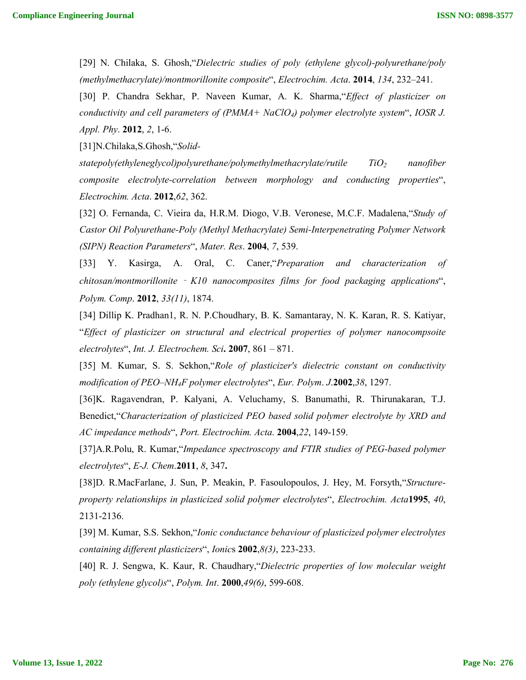[29] N. Chilaka, S. Ghosh,"*Dielectric studies of poly (ethylene glycol)-polyurethane/poly (methylmethacrylate)/montmorillonite composite*", *Electrochim. Acta*. **2014**, *134*, 232–241.

[30] P. Chandra Sekhar, P. Naveen Kumar, A. K. Sharma,"*Effect of plasticizer on conductivity and cell parameters of (PMMA+ NaClO4) polymer electrolyte system*", *IOSR J. Appl. Phy*. **2012**, *2*, 1-6.

[31]N.Chilaka,S.Ghosh,"*Solid-*

*statepoly(ethyleneglycol)polyurethane/polymethylmethacrylate/rutile TiO2 nanofiber composite electrolyte-correlation between morphology and conducting properties*", *Electrochim. Acta*. **2012**,*62*, 362.

[32] O. Fernanda, C. Vieira da, H.R.M. Diogo, V.B. Veronese, M.C.F. Madalena,"*Study of Castor Oil Polyurethane-Poly (Methyl Methacrylate) Semi-Interpenetrating Polymer Network (SIPN) Reaction Parameters*", *Mater. Res*. **2004**, *7*, 539.

[33] Y. Kasirga, A. Oral, C. Caner,"*Preparation and characterization of chitosan/montmorillonite* ‐ *K10 nanocomposites films for food packaging applications*", *Polym. Comp*. **2012**, *33(11)*, 1874.

[34] Dillip K. Pradhan1, R. N. P.Choudhary, B. K. Samantaray, N. K. Karan, R. S. Katiyar, "*Effect of plasticizer on structural and electrical properties of polymer nanocompsoite electrolytes*", *Int. J. Electrochem. Sci***. 2007**, 861 – 871.

[35] M. Kumar, S. S. Sekhon,"*Role of plasticizer's dielectric constant on conductivity modification of PEO–NH4F polymer electrolytes*", *Eur. Polym*. *J*.**2002**,*38*, 1297.

[36]K. Ragavendran, P. Kalyani, A. Veluchamy, S. Banumathi, R. Thirunakaran, T.J. Benedict,"*Characterization of plasticized PEO based solid polymer electrolyte by XRD and AC impedance methods*", *Port. Electrochim. Acta*. **2004**,*22*, 149-159.

[37]A.R.Polu, R. Kumar,"*Impedance spectroscopy and FTIR studies of PEG-based polymer electrolytes*", *E-J. Chem*.**2011**, *8*, 347**.**

[38]D. R.MacFarlane, J. Sun, P. Meakin, P. Fasoulopoulos, J. Hey, M. Forsyth,"*Structureproperty relationships in plasticized solid polymer electrolytes*", *Electrochim. Acta***1995**, *40*, 2131-2136.

[39] M. Kumar, S.S. Sekhon,"*Ionic conductance behaviour of plasticized polymer electrolytes containing different plasticizers*", *Ionic*s **2002**,*8(3)*, 223-233.

[40] R. J. Sengwa, K. Kaur, R. Chaudhary,"*Dielectric properties of low molecular weight poly (ethylene glycol)s*", *Polym. Int*. **2000**,*49(6)*, 599-608.